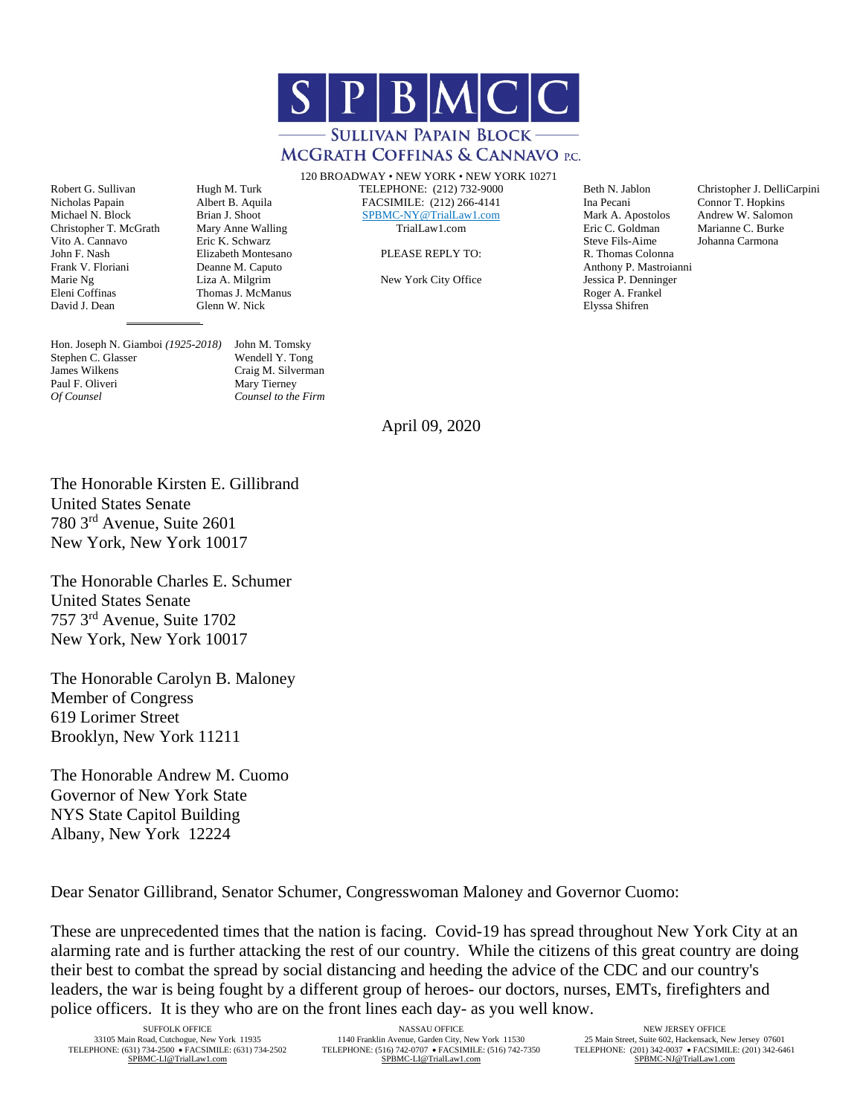

## **MCGRATH COFFINAS & CANNAVO P.C.**

120 BROADWAY • NEW YORK • NEW YORK 10271

Robert G. Sullivan Hugh M. Turk TELEPHONE: (212) 732-9000 Beth N. Jablon Christopher J. DelliCarpini<br>Nicholas Papain Albert B. Aquila FACSIMILE: (212) 266-4141 Ina Pecani Connor T. Hopkins Nicholas Papain Albert B. Aquila FACSIMILE: (212) 266-4141 Ina Pecani Connor T. Hopkins **[SPBMC-NY@TrialLaw1.com](mailto:SPBMC-NY@TrialLaw1.com)** Mark A. Apostolos Andrew W. Salomon TrialLaw1.com Eric C. Goldman Marianne C. Burke

Christopher T. McGrath Mary Anne Walling TrialLaw1.com Eric C. Goldman Marianne C. Burk<br>
Vito A. Cannavo Eric K. Schwarz Burkes (Eric A. Goldman Marianne C. Burk Vito A. Cannavo Eric K. Schwarz Steve Fils-Aime Johanna Carmona John F. Nash Elizabeth Montesano PLEASE REPLY TO: R. Thomas Colonna Frank V. Floriani Deanne M. Caputo Deanne M. Caputo Anthony P. Mastroianni Deanne M. Caputo Anthony P. Mastroianni Deanne M. Caputo New York City Office Anthony P. Mastroianni Deanne M. Caputo New York City Office Anthony Marie Ng Liza A. Milgrim New York City Office Jessica P. Denning<br>Eleni Coffinas Thomas J. McManus New York City Office Roger A. Frankel Eleni Coffinas Thomas J. McManus Roger A. Frankel David J. Dean Glenn W. Nick Elyssa Shifren

Hon. Joseph N. Giamboi *(1925-2018)* John M. Tomsky Stephen C. Glasser James Wilkens Craig M. Silverman Paul F. Oliveri *Of Counsel Counsel to the Firm*

 $\frac{1}{2}$  , and the set of  $\frac{1}{2}$  , and the set of  $\frac{1}{2}$ 

April 09, 2020

The Honorable Kirsten E. Gillibrand United States Senate 780 3rd Avenue, Suite 2601 New York, New York 10017

The Honorable Charles E. Schumer United States Senate 757 3rd Avenue, Suite 1702 New York, New York 10017

The Honorable Carolyn B. Maloney Member of Congress 619 Lorimer Street Brooklyn, New York 11211

The Honorable Andrew M. Cuomo Governor of New York State NYS State Capitol Building Albany, New York 12224

Dear Senator Gillibrand, Senator Schumer, Congresswoman Maloney and Governor Cuomo:

These are unprecedented times that the nation is facing. Covid-19 has spread throughout New York City at an alarming rate and is further attacking the rest of our country. While the citizens of this great country are doing their best to combat the spread by social distancing and heeding the advice of the CDC and our country's leaders, the war is being fought by a different group of heroes- our doctors, nurses, EMTs, firefighters and police officers. It is they who are on the front lines each day- as you well know.

33105 Main Road, Cutchogue, New York 11935 1140 Franklin Avenue, Garden City, New York 11530<br>TELEPHONE: 6510 742-7500 1140 Franklin Avenue, Garden City, New York 11530<br>TELEPHONE: 602, Hackensack, New York 11530

SUFFOLK OFFICE NEW JERSEY OFFICE NEW JERSEY OFFICE NEW JERSEY OFFICE NEW JERSEY OFFICE NEW JERSEY OFFICE NEW JERSEY OFFICE NEW JERSEY OFFICE NEW JERSEY OFFICE NEW JERSEY OFFICE NEW JERSEY OFFICE 25 Main Street, Suite 602, TELEPHONE: (510) 734-2502 TELEPHONE: (516) 742-0707 • FACSIMILE: (516) 742-7350 TELEPHONE: (201) 342-6461<br>SPBMC-LI@TrialLaw1.com SPEMC-LI@TrialLaw1.com SPBMC-LI@TrialLaw1.com SPBMC-LI@TrialLaw1.com SPBMC-N [SPBMC-LI@TrialLaw1.com](mailto:SPBMC-LI@TrialLaw1.com)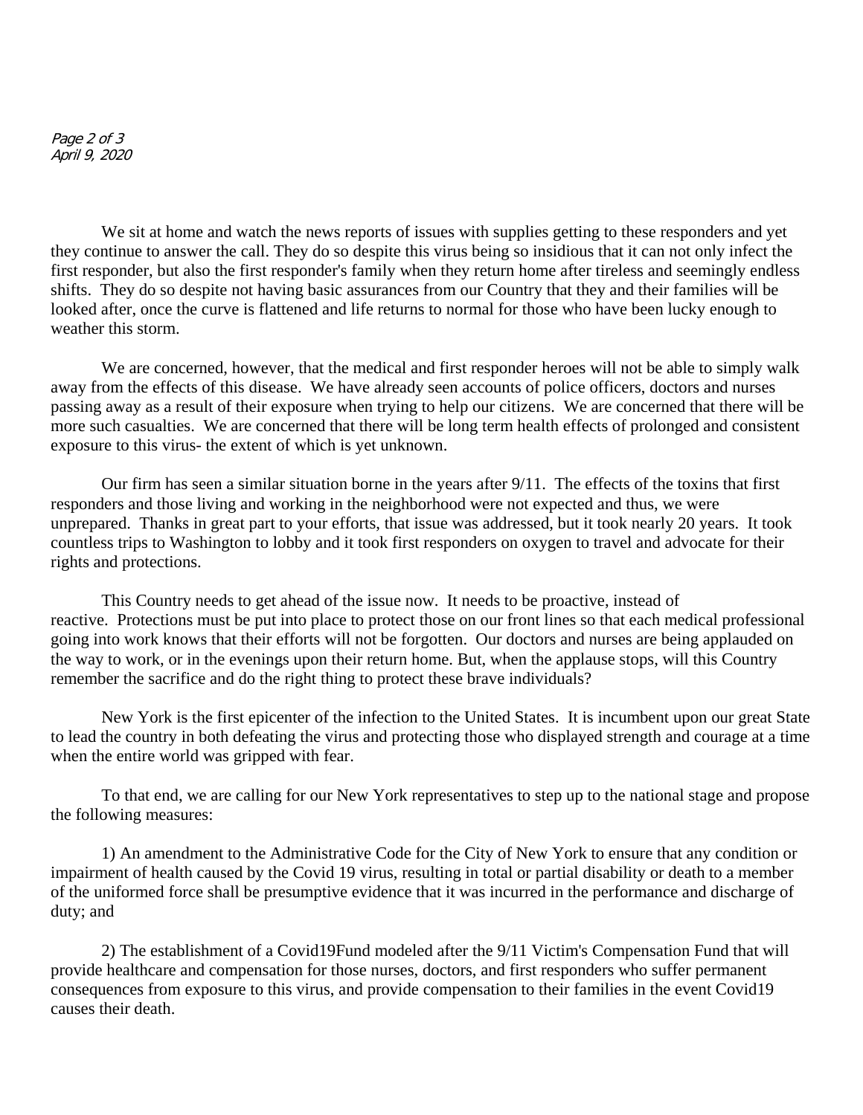Page 2 of 3 April 9, 2020

We sit at home and watch the news reports of issues with supplies getting to these responders and yet they continue to answer the call. They do so despite this virus being so insidious that it can not only infect the first responder, but also the first responder's family when they return home after tireless and seemingly endless shifts. They do so despite not having basic assurances from our Country that they and their families will be looked after, once the curve is flattened and life returns to normal for those who have been lucky enough to weather this storm.

We are concerned, however, that the medical and first responder heroes will not be able to simply walk away from the effects of this disease. We have already seen accounts of police officers, doctors and nurses passing away as a result of their exposure when trying to help our citizens. We are concerned that there will be more such casualties. We are concerned that there will be long term health effects of prolonged and consistent exposure to this virus- the extent of which is yet unknown.

Our firm has seen a similar situation borne in the years after 9/11. The effects of the toxins that first responders and those living and working in the neighborhood were not expected and thus, we were unprepared. Thanks in great part to your efforts, that issue was addressed, but it took nearly 20 years. It took countless trips to Washington to lobby and it took first responders on oxygen to travel and advocate for their rights and protections.

This Country needs to get ahead of the issue now. It needs to be proactive, instead of reactive. Protections must be put into place to protect those on our front lines so that each medical professional going into work knows that their efforts will not be forgotten. Our doctors and nurses are being applauded on the way to work, or in the evenings upon their return home. But, when the applause stops, will this Country remember the sacrifice and do the right thing to protect these brave individuals?

New York is the first epicenter of the infection to the United States. It is incumbent upon our great State to lead the country in both defeating the virus and protecting those who displayed strength and courage at a time when the entire world was gripped with fear.

To that end, we are calling for our New York representatives to step up to the national stage and propose the following measures:

1) An amendment to the Administrative Code for the City of New York to ensure that any condition or impairment of health caused by the Covid 19 virus, resulting in total or partial disability or death to a member of the uniformed force shall be presumptive evidence that it was incurred in the performance and discharge of duty; and

2) The establishment of a Covid19Fund modeled after the 9/11 Victim's Compensation Fund that will provide healthcare and compensation for those nurses, doctors, and first responders who suffer permanent consequences from exposure to this virus, and provide compensation to their families in the event Covid19 causes their death.